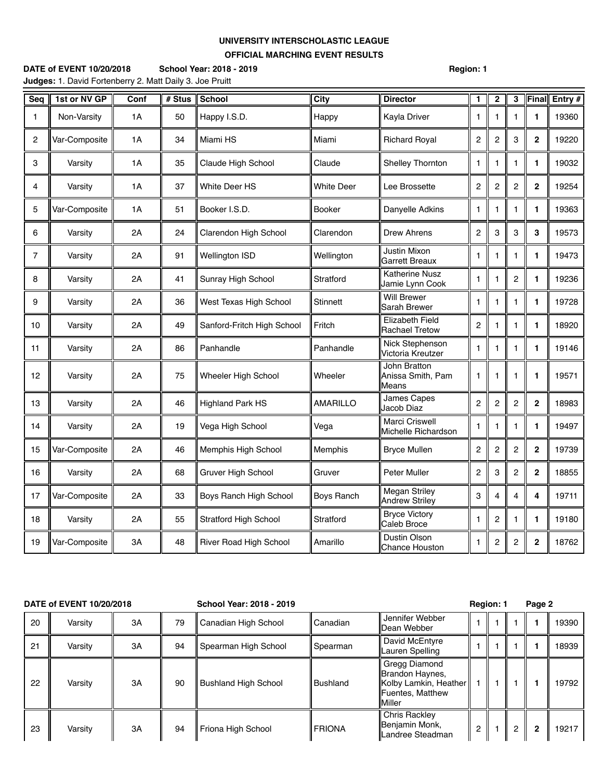## **UNIVERSITY INTERSCHOLASTIC LEAGUE OFFICIAL MARCHING EVENT RESULTS**

**DATE of EVENT 10/20/2018 School Year: 2018 - 2019 Region: 1 Judges:** 1. David Fortenberry 2. Matt Daily 3. Joe Pruitt

| Seq            | 1st or NV GP  | Conf | # Stus | <b>School</b>                | <b>City</b>       | <b>Director</b>                                 | $\mathbf{1}$            | $\overline{2}$   | 3              | Final          | Entry # |
|----------------|---------------|------|--------|------------------------------|-------------------|-------------------------------------------------|-------------------------|------------------|----------------|----------------|---------|
| 1              | Non-Varsity   | 1A   | 50     | Happy I.S.D.                 | Happy             | Kayla Driver                                    | 1                       | 1                | 1              | 1              | 19360   |
| 2              | Var-Composite | 1A   | 34     | Miami HS                     | Miami             | <b>Richard Royal</b>                            | $\overline{c}$          | $\overline{2}$   | 3              | $\mathbf{2}$   | 19220   |
| 3              | Varsity       | 1A   | 35     | Claude High School           | Claude            | Shelley Thornton                                | 1                       | $\mathbf{1}$     | 1              | 1              | 19032   |
| 4              | Varsity       | 1A   | 37     | White Deer HS                | <b>White Deer</b> | Lee Brossette                                   | 2                       | $\overline{2}$   | $\overline{2}$ | $\overline{2}$ | 19254   |
| 5              | Var-Composite | 1A   | 51     | Booker I.S.D.                | Booker            | Danyelle Adkins                                 | 1                       | $\mathbf{1}$     | 1              | 1              | 19363   |
| 6              | Varsity       | 2A   | 24     | Clarendon High School        | Clarendon         | <b>Drew Ahrens</b>                              | 2                       | 3                | 3              | 3              | 19573   |
| $\overline{7}$ | Varsity       | 2A   | 91     | <b>Wellington ISD</b>        | Wellington        | Justin Mixon<br><b>Garrett Breaux</b>           | 1                       | $\mathbf{1}$     | 1              | 1              | 19473   |
| 8              | Varsity       | 2A   | 41     | Sunray High School           | Stratford         | Katherine Nusz<br>Jamie Lynn Cook               | $\mathbf{1}$            | $\mathbf{1}$     | $\overline{2}$ | 1              | 19236   |
| 9              | Varsity       | 2A   | 36     | West Texas High School       | Stinnett          | <b>Will Brewer</b><br>Sarah Brewer              | 1                       | $\mathbf{1}$     | 1              | 1              | 19728   |
| 10             | Varsity       | 2A   | 49     | Sanford-Fritch High School   | Fritch            | <b>Elizabeth Field</b><br><b>Rachael Tretow</b> | $\overline{c}$          | $\mathbf{1}$     | 1              | 1              | 18920   |
| 11             | Varsity       | 2A   | 86     | Panhandle                    | Panhandle         | Nick Stephenson<br>Victoria Kreutzer            | $\mathbf{1}$            | $\mathbf{1}$     | $\mathbf{1}$   | 1              | 19146   |
| 12             | Varsity       | 2A   | 75     | Wheeler High School          | Wheeler           | John Bratton<br>Anissa Smith, Pam<br>Means      | 1                       | 1                | 1              | 1              | 19571   |
| 13             | Varsity       | 2A   | 46     | <b>Highland Park HS</b>      | <b>AMARILLO</b>   | James Capes<br>Jacob Diaz                       | $\overline{\mathbf{c}}$ | $\overline{c}$   | $\overline{c}$ | $\mathbf 2$    | 18983   |
| 14             | Varsity       | 2A   | 19     | Vega High School             | Vega              | Marci Criswell<br>Michelle Richardson           | 1                       | $\mathbf{1}$     | 1              | 1              | 19497   |
| 15             | Var-Composite | 2A   | 46     | Memphis High School          | Memphis           | <b>Bryce Mullen</b>                             | $\overline{\mathbf{c}}$ | $\overline{c}$   | $\overline{c}$ | $\mathbf 2$    | 19739   |
| 16             | Varsity       | 2A   | 68     | Gruver High School           | Gruver            | <b>Peter Muller</b>                             | $\overline{c}$          | 3                | 2              | $\mathbf 2$    | 18855   |
| 17             | Var-Composite | 2A   | 33     | Boys Ranch High School       | <b>Boys Ranch</b> | <b>Megan Striley</b><br><b>Andrew Striley</b>   | 3                       | 4                | 4              | 4              | 19711   |
| 18             | Varsity       | 2A   | 55     | <b>Stratford High School</b> | Stratford         | <b>Bryce Victory</b><br>Caleb Broce             | $\mathbf{1}$            | $\overline{2}$   | 1              | 1              | 19180   |
| 19             | Var-Composite | 3A   | 48     | River Road High School       | Amarillo          | Dustin Olson<br><b>Chance Houston</b>           | $\mathbf{1}$            | $\boldsymbol{2}$ | $\mathbf 2$    | $\mathbf{2}$   | 18762   |

| DATE of EVENT 10/20/2018 |         |    |    | School Year: 2018 - 2019    |                 |                                                                                         | Region: 1 |  |   | Page 2         |       |
|--------------------------|---------|----|----|-----------------------------|-----------------|-----------------------------------------------------------------------------------------|-----------|--|---|----------------|-------|
| 20                       | Varsity | 3A | 79 | Canadian High School        | Canadian        | Jennifer Webber<br>lDean Webber                                                         |           |  |   |                | 19390 |
| 21                       | Varsity | 3A | 94 | Spearman High School        | Spearman        | David McEntyre<br>Lauren Spelling                                                       |           |  |   |                | 18939 |
| 22                       | Varsity | 3A | 90 | <b>Bushland High School</b> | <b>Bushland</b> | Gregg Diamond<br>Brandon Haynes,<br>Kolby Lamkin, Heather<br>Fuentes, Matthew<br>Miller |           |  |   |                | 19792 |
| 23                       | Varsity | 3A | 94 | Friona High School          | <b>FRIONA</b>   | Chris Rackley<br>Benjamin Monk,<br>Landree Steadman                                     | 2         |  | 2 | $\overline{2}$ | 19217 |